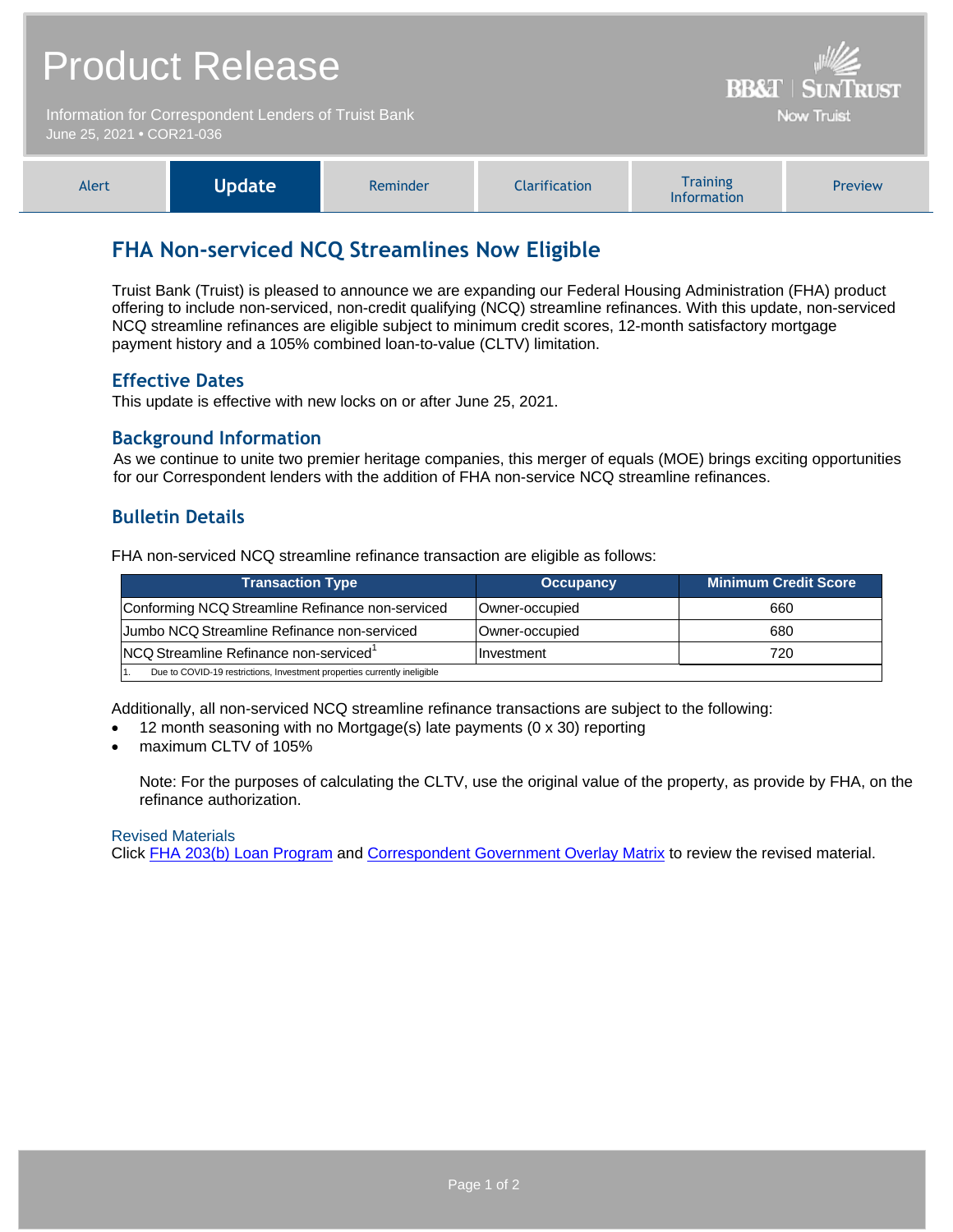|                           | <b>Product Release</b>                               | <b>BB&amp;T   SUNTRUST</b> |                   |                                       |         |
|---------------------------|------------------------------------------------------|----------------------------|-------------------|---------------------------------------|---------|
| June 25, 2021 • COR21-036 | Information for Correspondent Lenders of Truist Bank |                            | <b>Now Truist</b> |                                       |         |
| Alert                     | <b>Update</b>                                        | Reminder                   | Clarification     | <b>Training</b><br><b>Information</b> | Preview |

# **FHA Non-serviced NCQ Streamlines Now Eligible**

Truist Bank (Truist) is pleased to announce we are expanding our Federal Housing Administration (FHA) product offering to include non-serviced, non-credit qualifying (NCQ) streamline refinances. With this update, non-serviced NCQ streamline refinances are eligible subject to minimum credit scores, 12-month satisfactory mortgage payment history and a 105% combined loan-to-value (CLTV) limitation.

### **Effective Dates**

This update is effective with new locks on or after June 25, 2021.

#### **Background Information**

As we continue to unite two premier heritage companies, this merger of equals (MOE) brings exciting opportunities for our Correspondent lenders with the addition of FHA non-service NCQ streamline refinances.

#### **Bulletin Details**

FHA non-serviced NCQ streamline refinance transaction are eligible as follows:

| <b>Transaction Type</b>                                                  | <b>Occupancy</b>  | <b>Minimum Credit Score</b> |  |
|--------------------------------------------------------------------------|-------------------|-----------------------------|--|
| Conforming NCQ Streamline Refinance non-serviced                         | Owner-occupied    | 660                         |  |
| Uumbo NCQ Streamline Refinance non-serviced                              | Owner-occupied    | 680                         |  |
| <b>INCQ Streamline Refinance non-serviced</b>                            | <b>Investment</b> | 720                         |  |
| Due to COVID-19 restrictions, Investment properties currently ineligible |                   |                             |  |

Additionally, all non-serviced NCQ streamline refinance transactions are subject to the following:

- 12 month seasoning with no Mortgage(s) late payments (0 x 30) reporting
- maximum CLTV of 105%

Note: For the purposes of calculating the CLTV, use the original value of the property, as provide by FHA, on the refinance authorization.

Revised Materials

Click [FHA 203\(b\) Loan Program](https://www.truistsellerguide.com/manual/cor/products/cFHA.pdf) and [Correspondent Government Overlay Matrix](https://www.truistsellerguide.com/manual/cor/products/CGovtCreditOverlays.pdf) to review the revised material.